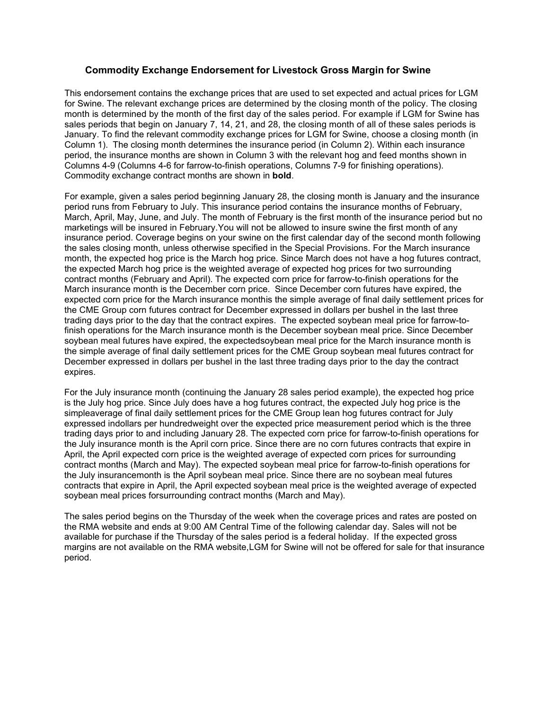## **Commodity Exchange Endorsement for Livestock Gross Margin for Swine**

This endorsement contains the exchange prices that are used to set expected and actual prices for LGM for Swine. The relevant exchange prices are determined by the closing month of the policy. The closing month is determined by the month of the first day of the sales period. For example if LGM for Swine has sales periods that begin on January 7, 14, 21, and 28, the closing month of all of these sales periods is January. To find the relevant commodity exchange prices for LGM for Swine, choose a closing month (in Column 1). The closing month determines the insurance period (in Column 2). Within each insurance period, the insurance months are shown in Column 3 with the relevant hog and feed months shown in Columns 4-9 (Columns 4-6 for farrow-to-finish operations, Columns 7-9 for finishing operations). Commodity exchange contract months are shown in **bold**.

For example, given a sales period beginning January 28, the closing month is January and the insurance period runs from February to July. This insurance period contains the insurance months of February, March, April, May, June, and July. The month of February is the first month of the insurance period but no marketings will be insured in February.You will not be allowed to insure swine the first month of any insurance period. Coverage begins on your swine on the first calendar day of the second month following the sales closing month, unless otherwise specified in the Special Provisions. For the March insurance month, the expected hog price is the March hog price. Since March does not have a hog futures contract, the expected March hog price is the weighted average of expected hog prices for two surrounding contract months (February and April). The expected corn price for farrow-to-finish operations for the March insurance month is the December corn price. Since December corn futures have expired, the expected corn price for the March insurance monthis the simple average of final daily settlement prices for the CME Group corn futures contract for December expressed in dollars per bushel in the last three trading days prior to the day that the contract expires. The expected soybean meal price for farrow-tofinish operations for the March insurance month is the December soybean meal price. Since December soybean meal futures have expired, the expectedsoybean meal price for the March insurance month is the simple average of final daily settlement prices for the CME Group soybean meal futures contract for December expressed in dollars per bushel in the last three trading days prior to the day the contract expires.

For the July insurance month (continuing the January 28 sales period example), the expected hog price is the July hog price. Since July does have a hog futures contract, the expected July hog price is the simpleaverage of final daily settlement prices for the CME Group lean hog futures contract for July expressed indollars per hundredweight over the expected price measurement period which is the three trading days prior to and including January 28. The expected corn price for farrow-to-finish operations for the July insurance month is the April corn price. Since there are no corn futures contracts that expire in April, the April expected corn price is the weighted average of expected corn prices for surrounding contract months (March and May). The expected soybean meal price for farrow-to-finish operations for the July insurancemonth is the April soybean meal price. Since there are no soybean meal futures contracts that expire in April, the April expected soybean meal price is the weighted average of expected soybean meal prices forsurrounding contract months (March and May).

The sales period begins on the Thursday of the week when the coverage prices and rates are posted on the RMA website and ends at 9:00 AM Central Time of the following calendar day. Sales will not be available for purchase if the Thursday of the sales period is a federal holiday. If the expected gross margins are not available on the RMA website,LGM for Swine will not be offered for sale for that insurance period.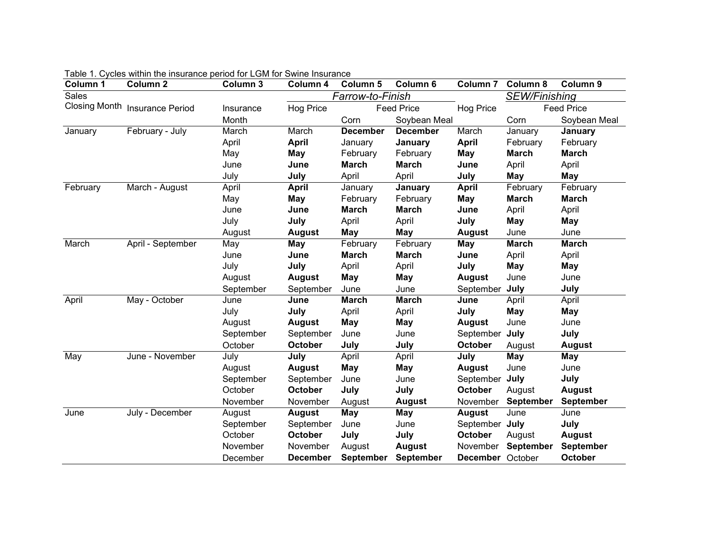| Column 1 | Column <sub>2</sub>            | Column 3  | Column 4         | Column 5          | Column 6        | Column <sub>7</sub>  | Column 8          | Column 9         |
|----------|--------------------------------|-----------|------------------|-------------------|-----------------|----------------------|-------------------|------------------|
| Sales    |                                |           | Farrow-to-Finish |                   |                 | <b>SEW/Finishing</b> |                   |                  |
|          | Closing Month Insurance Period | Insurance | <b>Hog Price</b> | <b>Feed Price</b> |                 | Hog Price            | <b>Feed Price</b> |                  |
|          |                                | Month     |                  | Corn              | Soybean Meal    |                      | Corn              | Soybean Meal     |
| January  | February - July                | March     | March            | <b>December</b>   | <b>December</b> | March                | January           | January          |
|          |                                | April     | <b>April</b>     | January           | January         | <b>April</b>         | February          | February         |
|          |                                | May       | May              | February          | February        | May                  | <b>March</b>      | <b>March</b>     |
|          |                                | June      | June             | <b>March</b>      | <b>March</b>    | June                 | April             | April            |
|          |                                | July      | July             | April             | April           | July                 | May               | <b>May</b>       |
| February | March - August                 | April     | <b>April</b>     | January           | January         | <b>April</b>         | February          | February         |
|          |                                | May       | <b>May</b>       | February          | February        | May                  | <b>March</b>      | <b>March</b>     |
|          |                                | June      | June             | <b>March</b>      | <b>March</b>    | June                 | April             | April            |
|          |                                | July      | July             | April             | April           | July                 | <b>May</b>        | <b>May</b>       |
|          |                                | August    | <b>August</b>    | <b>May</b>        | <b>May</b>      | <b>August</b>        | June              | June             |
| March    | April - September              | May       | <b>May</b>       | February          | February        | May                  | <b>March</b>      | <b>March</b>     |
|          |                                | June      | June             | <b>March</b>      | <b>March</b>    | June                 | April             | April            |
|          |                                | July      | July             | April             | April           | July                 | <b>May</b>        | <b>May</b>       |
|          |                                | August    | <b>August</b>    | <b>May</b>        | <b>May</b>      | <b>August</b>        | June              | June             |
|          |                                | September | September        | June              | June            | September            | July              | July             |
| April    | May - October                  | June      | June             | <b>March</b>      | <b>March</b>    | June                 | April             | April            |
|          |                                | July      | July             | April             | April           | July                 | <b>May</b>        | <b>May</b>       |
|          |                                | August    | <b>August</b>    | <b>May</b>        | May             | <b>August</b>        | June              | June             |
|          |                                | September | September        | June              | June            | September            | July              | July             |
|          |                                | October   | October          | July              | July            | October              | August            | <b>August</b>    |
| May      | June - November                | July      | July             | April             | April           | July                 | <b>May</b>        | <b>May</b>       |
|          |                                | August    | <b>August</b>    | <b>May</b>        | <b>May</b>      | <b>August</b>        | June              | June             |
|          |                                | September | September        | June              | June            | September            | July              | July             |
|          |                                | October   | October          | July              | July            | October              | August            | <b>August</b>    |
|          |                                | November  | November         | August            | <b>August</b>   | November             | <b>September</b>  | September        |
| June     | July - December                | August    | <b>August</b>    | <b>May</b>        | May             | <b>August</b>        | June              | June             |
|          |                                | September | September        | June              | June            | September July       |                   | July             |
|          |                                | October   | October          | July              | July            | October              | August            | <b>August</b>    |
|          |                                | November  | November         | August            | <b>August</b>   | November             | <b>September</b>  | <b>September</b> |
|          |                                | December  | <b>December</b>  | <b>September</b>  | September       | December October     |                   | <b>October</b>   |

Table 1. Cycles within the insurance period for LGM for Swine Insurance